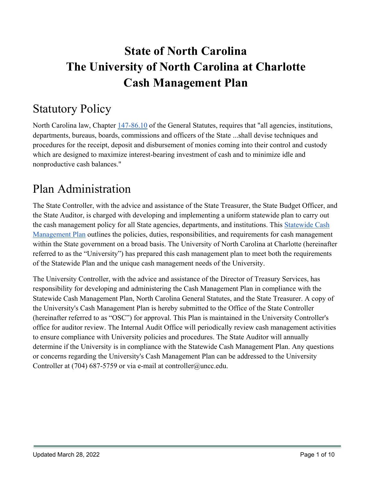# **State of North Carolina The University of North Carolina at Charlotte Cash Management Plan**

# Statutory Policy

North Carolina law, Chapter [147-86.10](https://www.ncleg.net/EnactedLegislation/Statutes/PDF/BySection/Chapter_147/GS_147-86.10.pdf) of the General Statutes, requires that "all agencies, institutions, departments, bureaus, boards, commissions and officers of the State ...shall devise techniques and procedures for the receipt, deposit and disbursement of monies coming into their control and custody which are designed to maximize interest-bearing investment of cash and to minimize idle and nonproductive cash balances."

# Plan Administration

The State Controller, with the advice and assistance of the State Treasurer, the State Budget Officer, and the State Auditor, is charged with developing and implementing a uniform statewide plan to carry out the cash management policy for all State agencies, departments, and institutions. This [Statewide Cash](https://www.osc.nc.gov/state-agency-resources/statewide-policy-directory/section-300-cash-management/3001-statewide)  [Management Plan](https://www.osc.nc.gov/state-agency-resources/statewide-policy-directory/section-300-cash-management/3001-statewide) outlines the policies, duties, responsibilities, and requirements for cash management within the State government on a broad basis. The University of North Carolina at Charlotte (hereinafter referred to as the "University") has prepared this cash management plan to meet both the requirements of the Statewide Plan and the unique cash management needs of the University.

The University Controller, with the advice and assistance of the Director of Treasury Services, has responsibility for developing and administering the Cash Management Plan in compliance with the Statewide Cash Management Plan, North Carolina General Statutes, and the State Treasurer. A copy of the University's Cash Management Plan is hereby submitted to the Office of the State Controller (hereinafter referred to as "OSC") for approval. This Plan is maintained in the University Controller's office for auditor review. The Internal Audit Office will periodically review cash management activities to ensure compliance with University policies and procedures. The State Auditor will annually determine if the University is in compliance with the Statewide Cash Management Plan. Any questions or concerns regarding the University's Cash Management Plan can be addressed to the University Controller at (704) 687-5759 or via e-mail at controller@uncc.edu.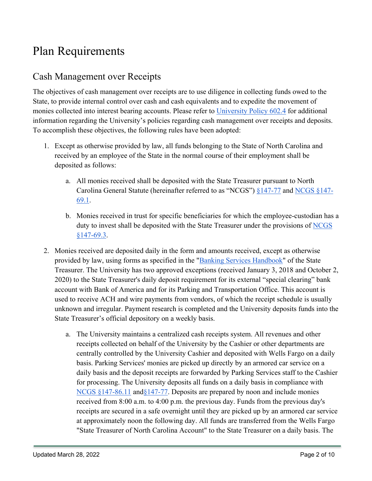### Plan Requirements

### Cash Management over Receipts

The objectives of cash management over receipts are to use diligence in collecting funds owed to the State, to provide internal control over cash and cash equivalents and to expedite the movement of monies collected into interest bearing accounts. Please refer to [University](https://legal.charlotte.edu/policies/up-602.4) [Policy 602.4](https://legal.charlotte.edu/policies/up-602.4) for additional information regarding the University's policies regarding cash management over receipts and deposits. To accomplish these objectives, the following rules have been adopted:

- 1. Except as otherwise provided by law, all funds belonging to the State of North Carolina and received by an employee of the State in the normal course of their employment shall be deposited as follows:
	- a. All monies received shall be deposited with the State Treasurer pursuant to North Carolina General Statute (hereinafter referred to as "NCGS") [§147-77](http://www.ncleg.net/EnactedLegislation/Statutes/PDF/BySection/Chapter_147/GS_147-77.pdf) and [NCGS §147-](http://www.ncleg.net/EnactedLegislation/Statutes/PDF/BySection/Chapter_147/GS_147-69.1.pdf) [69.1.](http://www.ncleg.net/EnactedLegislation/Statutes/PDF/BySection/Chapter_147/GS_147-69.1.pdf)
	- b. Monies received in trust for specific beneficiaries for which the employee-custodian has a duty to invest shall be deposited with the State Treasurer under the provisions of NCGS [§147-69.3.](http://www.ncleg.net/EnactedLegislation/Statutes/PDF/BySection/Chapter_147/GS_147-69.3.pdf)
- 2. Monies received are deposited daily in the form and amounts received, except as otherwise provided by law, using forms as specified in the ["Banking Services Handbook"](https://www.nctreasurer.com/financial-operations-division/banking-services-handbook) of the State Treasurer. The University has two approved exceptions (received January 3, 2018 and October 2, 2020) to the State Treasurer's daily deposit requirement for its external "special clearing" bank account with Bank of America and for its Parking and Transportation Office. This account is used to receive ACH and wire payments from vendors, of which the receipt schedule is usually unknown and irregular. Payment research is completed and the University deposits funds into the State Treasurer's official depository on a weekly basis.
	- a. The University maintains a centralized cash receipts system. All revenues and other receipts collected on behalf of the University by the Cashier or other departments are centrally controlled by the University Cashier and deposited with Wells Fargo on a daily basis. Parking Services' monies are picked up directly by an armored car service on a daily basis and the deposit receipts are forwarded by Parking Services staff to the Cashier for processing. The University deposits all funds on a daily basis in compliance with [NCGS §147-86.11](http://www.ncleg.net/EnactedLegislation/Statutes/PDF/BySection/Chapter_147/GS_147-86.11.pdf) and §147-77. Deposits are prepared by noon and include monies received from 8:00 a.m. to 4:00 p.m. the previous day. Funds from the previous day's receipts are secured in a safe overnight until they are picked up by an armored car service at approximately noon the following day. All funds are transferred from the Wells Fargo "State Treasurer of North Carolina Account" to the State Treasurer on a daily basis. The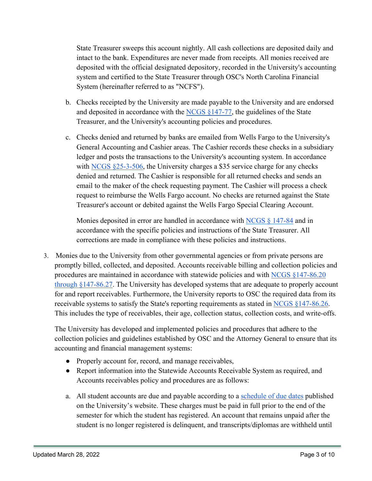State Treasurer sweeps this account nightly. All cash collections are deposited daily and intact to the bank. Expenditures are never made from receipts. All monies received are deposited with the official designated depository, recorded in the University's accounting system and certified to the State Treasurer through OSC's North Carolina Financial System (hereinafter referred to as "NCFS").

- b. Checks receipted by the University are made payable to the University and are endorsed and deposited in accordance with the [NCGS §147-77,](http://www.ncleg.net/EnactedLegislation/Statutes/PDF/BySection/Chapter_147/GS_147-77.pdf) the guidelines of the State Treasurer, and the University's accounting policies and procedures.
- c. Checks denied and returned by banks are emailed from Wells Fargo to the University's General Accounting and Cashier areas. The Cashier records these checks in a subsidiary ledger and posts the transactions to the University's accounting system. In accordance with  $NCGS \$   $25-3-506$ , the University charges a \$35 service charge for any checks denied and returned. The Cashier is responsible for all returned checks and sends an email to the maker of the check requesting payment. The Cashier will process a check request to reimburse the Wells Fargo account. No checks are returned against the State Treasurer's account or debited against the Wells Fargo Special Clearing Account.

Monies deposited in error are handled in accordance with NCGS  $\S$  147-84 and in accordance with the specific policies and instructions of the State Treasurer. All corrections are made in compliance with these policies and instructions.

3. Monies due to the University from other governmental agencies or from private persons are promptly billed, collected, and deposited. Accounts receivable billing and collection policies and procedures are maintained in accordance with statewide policies and with [NCGS §147-86.20](http://www.ncleg.net/EnactedLegislation/Statutes/PDF/ByArticle/Chapter_147/Article_6B.pdf)  [through §147-86.27.](http://www.ncleg.net/EnactedLegislation/Statutes/PDF/ByArticle/Chapter_147/Article_6B.pdf) The University has developed systems that are adequate to properly account for and report receivables. Furthermore, the University reports to OSC the required data from its receivable systems to satisfy the State's reporting requirements as stated in [NCGS §147-86.26.](http://www.ncleg.net/EnactedLegislation/Statutes/PDF/BySection/Chapter_147/GS_147-86.26.pdf) This includes the type of receivables, their age, collection status, collection costs, and write-offs.

The University has developed and implemented policies and procedures that adhere to the collection policies and guidelines established by OSC and the Attorney General to ensure that its accounting and financial management systems:

- Properly account for, record, and manage receivables,
- Report information into the Statewide Accounts Receivable System as required, and Accounts receivables policy and procedures are as follows:
- a. All student accounts are due and payable according to a [schedule of due dates](https://ninercentral.charlotte.edu/billing-payments-refunds/payments/payment-due-dates) published on the University's website. These charges must be paid in full prior to the end of the semester for which the student has registered. An account that remains unpaid after the student is no longer registered is delinquent, and transcripts/diplomas are withheld until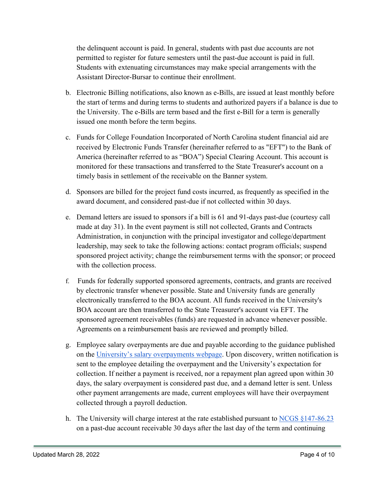the delinquent account is paid. In general, students with past due accounts are not permitted to register for future semesters until the past-due account is paid in full. Students with extenuating circumstances may make special arrangements with the Assistant Director-Bursar to continue their enrollment.

- b. Electronic Billing notifications, also known as e-Bills, are issued at least monthly before the start of terms and during terms to students and authorized payers if a balance is due to the University. The e-Bills are term based and the first e-Bill for a term is generally issued one month before the term begins.
- c. Funds for College Foundation Incorporated of North Carolina student financial aid are received by Electronic Funds Transfer (hereinafter referred to as "EFT") to the Bank of America (hereinafter referred to as "BOA") Special Clearing Account. This account is monitored for these transactions and transferred to the State Treasurer's account on a timely basis in settlement of the receivable on the Banner system.
- d. Sponsors are billed for the project fund costs incurred, as frequently as specified in the award document, and considered past-due if not collected within 30 days.
- e. Demand letters are issued to sponsors if a bill is 61 and 91-days past-due (courtesy call made at day 31). In the event payment is still not collected, Grants and Contracts Administration, in conjunction with the principal investigator and college/department leadership, may seek to take the following actions: contact program officials; suspend sponsored project activity; change the reimbursement terms with the sponsor; or proceed with the collection process.
- f. Funds for federally supported sponsored agreements, contracts, and grants are received by electronic transfer whenever possible. State and University funds are generally electronically transferred to the BOA account. All funds received in the University's BOA account are then transferred to the State Treasurer's account via EFT. The sponsored agreement receivables (funds) are requested in advance whenever possible. Agreements on a reimbursement basis are reviewed and promptly billed.
- g. Employee salary overpayments are due and payable according to the guidance published on the [University's salary overpayments webpage.](https://finance.charlotte.edu/resources/payroll/salary-overpayments) Upon discovery, written notification is sent to the employee detailing the overpayment and the University's expectation for collection. If neither a payment is received, nor a repayment plan agreed upon within 30 days, the salary overpayment is considered past due, and a demand letter is sent. Unless other payment arrangements are made, current employees will have their overpayment collected through a payroll deduction.
- h. The University will charge interest at the rate established pursuant to  $NCGS \$ §147-86.23 on a past-due account receivable 30 days after the last day of the term and continuing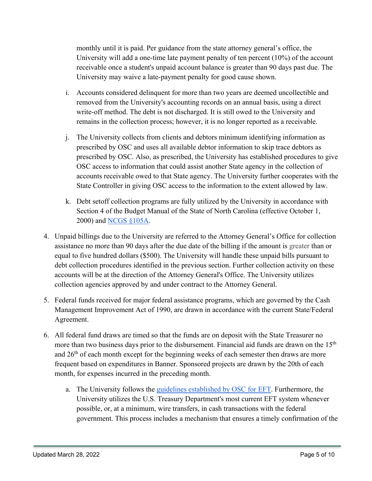monthly until it is paid. Per guidance from the state attorney general's office, the University will add a one-time late payment penalty of ten percent (10%) of the account receivable once a student's unpaid account balance is greater than 90 days past due. The University may waive a late-payment penalty for good cause shown.

- i. Accounts considered delinquent for more than two years are deemed uncollectible and removed from the University's accounting records on an annual basis, using a direct write-off method. The debt is not discharged. It is still owed to the University and remains in the collection process; however, it is no longer reported as a receivable.
- j. The University collects from clients and debtors minimum identifying information as prescribed by OSC and uses all available debtor information to skip trace debtors as prescribed by OSC. Also, as prescribed, the University has established procedures to give OSC access to information that could assist another State agency in the collection of accounts receivable owed to that State agency. The University further cooperates with the State Controller in giving OSC access to the information to the extent allowed by law.
- k. Debt setoff collection programs are fully utilized by the University in accordance with Section 4 of the Budget Manual of the State of North Carolina (effective October 1, 2000) and [NCGS §105A.](https://www.ncleg.net/EnactedLegislation/Statutes/HTML/ByChapter/Chapter_105A.html)
- 4. Unpaid billings due to the University are referred to the Attorney General's Office for collection assistance no more than 90 days after the due date of the billing if the amount is greater than or equal to five hundred dollars (\$500). The University will handle these unpaid bills pursuant to debt collection procedures identified in the previous section. Further collection activity on these accounts will be at the direction of the Attorney General's Office. The University utilizes collection agencies approved by and under contract to the Attorney General.
- 5. Federal funds received for major federal assistance programs, which are governed by the Cash Management Improvement Act of 1990, are drawn in accordance with the current State/Federal Agreement.
- 6. All federal fund draws are timed so that the funds are on deposit with the State Treasurer no more than two business days prior to the disbursement. Financial aid funds are drawn on the  $15<sup>th</sup>$ and 26<sup>th</sup> of each month except for the beginning weeks of each semester then draws are more frequent based on expenditures in Banner. Sponsored projects are drawn by the 20th of each month, for expenses incurred in the preceding month.
	- a. The University follows the [guidelines established by OSC for EFT.](https://www.osc.nc.gov/state-agency-resources/statewide-policy-directory/section-500-ecommerce/5008-statewide-accounting) Furthermore, the University utilizes the U.S. Treasury Department's most current EFT system whenever possible, or, at a minimum, wire transfers, in cash transactions with the federal government. This process includes a mechanism that ensures a timely confirmation of the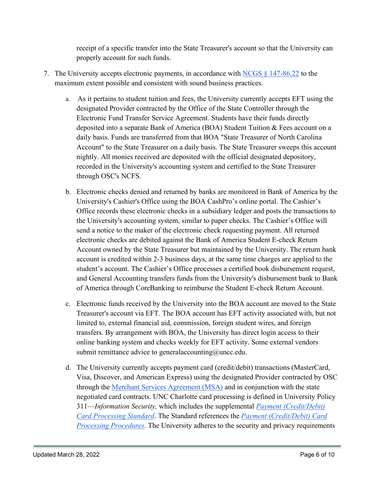receipt of a specific transfer into the State Treasurer's account so that the University can properly account for such funds.

- 7. The University accepts electronic payments, in accordance with [NCGS § 147-86.22](https://www.ncleg.net/EnactedLegislation/Statutes/PDF/BySection/Chapter_147/GS_147-86.22.pdf) to the maximum extent possible and consistent with sound business practices.
	- a. As it pertains to student tuition and fees, the University currently accepts EFT using the designated Provider contracted by the Office of the State Controller through the Electronic Fund Transfer Service Agreement. Students have their funds directly deposited into a separate Bank of America (BOA) Student Tuition & Fees account on a daily basis. Funds are transferred from that BOA "State Treasurer of North Carolina Account" to the State Treasurer on a daily basis. The State Treasurer sweeps this account nightly. All monies received are deposited with the official designated depository, recorded in the University's accounting system and certified to the State Treasurer through OSC's NCFS.
	- b. Electronic checks denied and returned by banks are monitored in Bank of America by the University's Cashier's Office using the BOA CashPro's online portal. The Cashier's Office records these electronic checks in a subsidiary ledger and posts the transactions to the University's accounting system, similar to paper checks. The Cashier's Office will send a notice to the maker of the electronic check requesting payment. All returned electronic checks are debited against the Bank of America Student E-check Return Account owned by the State Treasurer but maintained by the University. The return bank account is credited within 2-3 business days, at the same time charges are applied to the student's account. The Cashier's Office processes a certified book disbursement request, and General Accounting transfers funds from the University's disbursement bank to Bank of America through CoreBanking to reimburse the Student E-check Return Account.
	- c. Electronic funds received by the University into the BOA account are moved to the State Treasurer's account via EFT. The BOA account has EFT activity associated with, but not limited to, external financial aid, commission, foreign student wires, and foreign transfers. By arrangement with BOA, the University has direct login access to their online banking system and checks weekly for EFT activity. Some external vendors submit remittance advice to generalaccounting@uncc.edu.
	- d. The University currently accepts payment card (credit/debit) transactions (MasterCard, Visa, Discover, and American Express) using the designated Provider contracted by OSC through the [Merchant Services Agreement \(MSA\)](https://www.google.com/url?q=https://www.osc.nc.gov/state-agency-resources/statewide-electronic-commerce-program-secp/merchant-card-program/merchant-2&sa=D&source=docs&ust=1644427880800359&usg=AOvVaw0uKulmOrWY03q5FHj8A3bi) and in conjunction with the state negotiated card contracts. UNC Charlotte card processing is defined in University Policy 311—*Information Security,* which includes the supplemental *[Payment \(Credit/Debit\)](https://finance.charlotte.edu/resources/e-commerce/payment-creditdebit-card-processing-standard)  [Card Processing Standard](https://finance.charlotte.edu/resources/e-commerce/payment-creditdebit-card-processing-standard)*. The Standard references the *[Payment \(Credit/Debit\) Card](https://finance.charlotte.edu/resources/e-commerce/payment-creditdebit-card-processing-procedures)  [Processing Procedures](https://finance.charlotte.edu/resources/e-commerce/payment-creditdebit-card-processing-procedures)*. The University adheres to the security and privacy requirements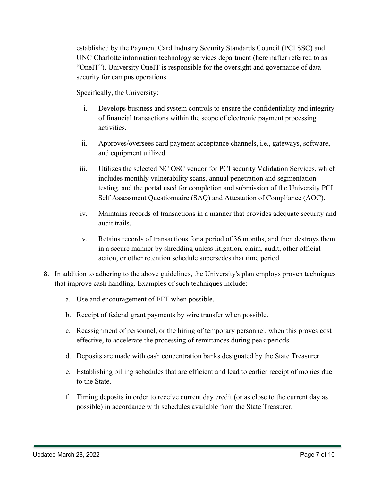established by the Payment Card Industry Security Standards Council (PCI SSC) and UNC Charlotte information technology services department (hereinafter referred to as "OneIT"). University OneIT is responsible for the oversight and governance of data security for campus operations.

Specifically, the University:

- i. Develops business and system controls to ensure the confidentiality and integrity of financial transactions within the scope of electronic payment processing activities.
- ii. Approves/oversees card payment acceptance channels, i.e., gateways, software, and equipment utilized.
- iii. Utilizes the selected NC OSC vendor for PCI security Validation Services, which includes monthly vulnerability scans, annual penetration and segmentation testing, and the portal used for completion and submission of the University PCI Self Assessment Questionnaire (SAQ) and Attestation of Compliance (AOC).
- iv. Maintains records of transactions in a manner that provides adequate security and audit trails.
- v. Retains records of transactions for a period of 36 months, and then destroys them in a secure manner by shredding unless litigation, claim, audit, other official action, or other retention schedule supersedes that time period.
- 8. In addition to adhering to the above guidelines, the University's plan employs proven techniques that improve cash handling. Examples of such techniques include:
	- a. Use and encouragement of EFT when possible.
	- b. Receipt of federal grant payments by wire transfer when possible.
	- c. Reassignment of personnel, or the hiring of temporary personnel, when this proves cost effective, to accelerate the processing of remittances during peak periods.
	- d. Deposits are made with cash concentration banks designated by the State Treasurer.
	- e. Establishing billing schedules that are efficient and lead to earlier receipt of monies due to the State.
	- f. Timing deposits in order to receive current day credit (or as close to the current day as possible) in accordance with schedules available from the State Treasurer.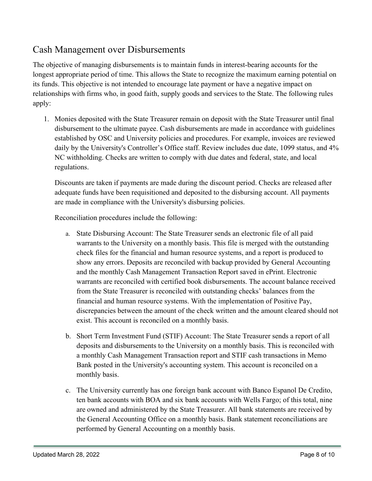### Cash Management over Disbursements

The objective of managing disbursements is to maintain funds in interest-bearing accounts for the longest appropriate period of time. This allows the State to recognize the maximum earning potential on its funds. This objective is not intended to encourage late payment or have a negative impact on relationships with firms who, in good faith, supply goods and services to the State. The following rules apply:

1. Monies deposited with the State Treasurer remain on deposit with the State Treasurer until final disbursement to the ultimate payee. Cash disbursements are made in accordance with guidelines established by OSC and University policies and procedures. For example, invoices are reviewed daily by the University's Controller's Office staff. Review includes due date, 1099 status, and 4% NC withholding. Checks are written to comply with due dates and federal, state, and local regulations.

Discounts are taken if payments are made during the discount period. Checks are released after adequate funds have been requisitioned and deposited to the disbursing account. All payments are made in compliance with the University's disbursing policies.

Reconciliation procedures include the following:

- a. State Disbursing Account: The State Treasurer sends an electronic file of all paid warrants to the University on a monthly basis. This file is merged with the outstanding check files for the financial and human resource systems, and a report is produced to show any errors. Deposits are reconciled with backup provided by General Accounting and the monthly Cash Management Transaction Report saved in ePrint. Electronic warrants are reconciled with certified book disbursements. The account balance received from the State Treasurer is reconciled with outstanding checks' balances from the financial and human resource systems. With the implementation of Positive Pay, discrepancies between the amount of the check written and the amount cleared should not exist. This account is reconciled on a monthly basis.
- b. Short Term Investment Fund (STIF) Account: The State Treasurer sends a report of all deposits and disbursements to the University on a monthly basis. This is reconciled with a monthly Cash Management Transaction report and STIF cash transactions in Memo Bank posted in the University's accounting system. This account is reconciled on a monthly basis.
- c. The University currently has one foreign bank account with Banco Espanol De Credito, ten bank accounts with BOA and six bank accounts with Wells Fargo; of this total, nine are owned and administered by the State Treasurer. All bank statements are received by the General Accounting Office on a monthly basis. Bank statement reconciliations are performed by General Accounting on a monthly basis.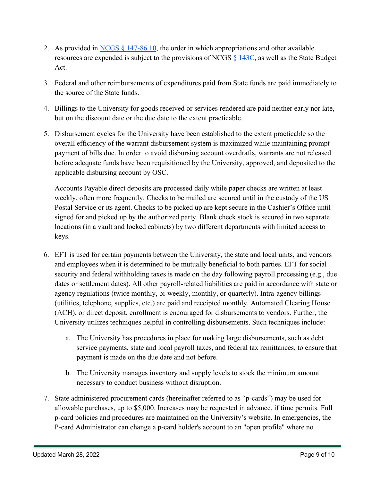- 2. As provided in NCGS  $\S$  147-86.10, the order in which appropriations and other available resources are expended is subject to the provisions of NCGS  $\S$  [143C,](https://www.ncleg.net/EnactedLegislation/Statutes/HTML/ByChapter/Chapter_143C.html) as well as the State Budget Act.
- 3. Federal and other reimbursements of expenditures paid from State funds are paid immediately to the source of the State funds.
- 4. Billings to the University for goods received or services rendered are paid neither early nor late, but on the discount date or the due date to the extent practicable.
- 5. Disbursement cycles for the University have been established to the extent practicable so the overall efficiency of the warrant disbursement system is maximized while maintaining prompt payment of bills due. In order to avoid disbursing account overdrafts, warrants are not released before adequate funds have been requisitioned by the University, approved, and deposited to the applicable disbursing account by OSC.

Accounts Payable direct deposits are processed daily while paper checks are written at least weekly, often more frequently. Checks to be mailed are secured until in the custody of the US Postal Service or its agent. Checks to be picked up are kept secure in the Cashier's Office until signed for and picked up by the authorized party. Blank check stock is secured in two separate locations (in a vault and locked cabinets) by two different departments with limited access to keys.

- 6. EFT is used for certain payments between the University, the state and local units, and vendors and employees when it is determined to be mutually beneficial to both parties. EFT for social security and federal withholding taxes is made on the day following payroll processing (e.g., due dates or settlement dates). All other payroll-related liabilities are paid in accordance with state or agency regulations (twice monthly, bi-weekly, monthly, or quarterly). Intra-agency billings (utilities, telephone, supplies, etc.) are paid and receipted monthly. Automated Clearing House (ACH), or direct deposit, enrollment is encouraged for disbursements to vendors. Further, the University utilizes techniques helpful in controlling disbursements. Such techniques include:
	- a. The University has procedures in place for making large disbursements, such as debt service payments, state and local payroll taxes, and federal tax remittances, to ensure that payment is made on the due date and not before.
	- b. The University manages inventory and supply levels to stock the minimum amount necessary to conduct business without disruption.
- 7. State administered procurement cards (hereinafter referred to as "p-cards") may be used for allowable purchases, up to \$5,000. Increases may be requested in advance, if time permits. Full p-card policies and procedures are maintained on the University's website. In emergencies, the P-card Administrator can change a p-card holder's account to an "open profile" where no